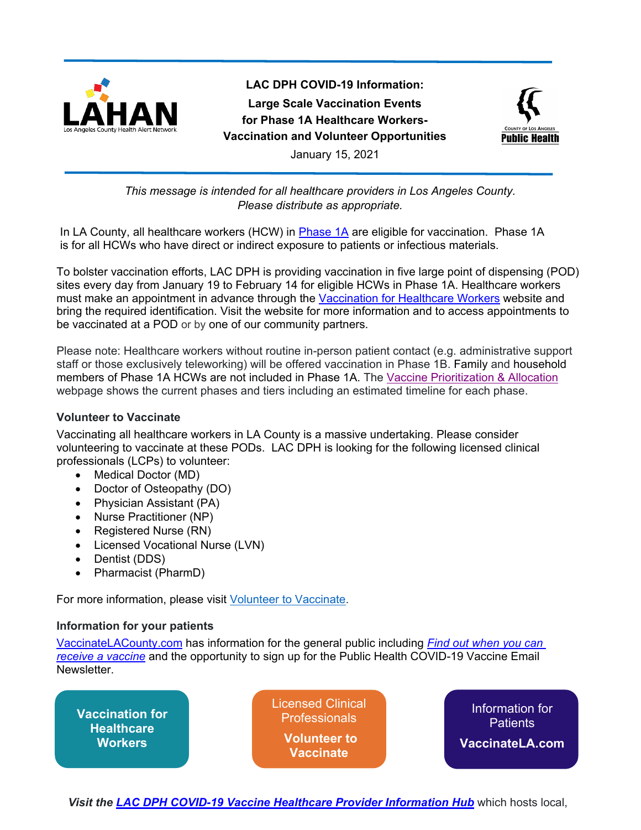

**LAC DPH COVID-19 Information: Large Scale Vaccination Events for Phase 1A Healthcare Workers-Vaccination and Volunteer Opportunities**



January 15, 2021

## *This message is intended for all healthcare providers in Los Angeles County. Please distribute as appropriate.*

In LA County, all healthcare workers (HCW) in [Phase 1A](http://publichealth.lacounty.gov/acd/ncorona2019/vaccine/allocation/#tier1a) are eligible for vaccination. Phase 1A is for all HCWs who have direct or indirect exposure to patients or infectious materials.

To bolster vaccination efforts, LAC DPH is providing vaccination in five large point of dispensing (POD) sites every day from January 19 to February 14 for eligible HCWs in Phase 1A. Healthcare workers must make an appointment in advance through the Vaccination [for Healthcare Workers](http://publichealth.lacounty.gov/acd/ncorona2019/vaccine/hcwsignup/) website and bring the required identification. Visit the website for more information and to access appointments to be vaccinated at a POD or by one of our community partners.

Please note: Healthcare workers without routine in-person patient contact (e.g. administrative support staff or those exclusively teleworking) will be offered vaccination in Phase 1B. Family and household members of Phase 1A HCWs are not included in Phase 1A. The Vaccine Prioritization & Allocation webpage shows the current phases and tiers including an estimated timeline for each phase.

## **Volunteer to Vaccinate**

Vaccinating all healthcare workers in LA County is a massive undertaking. Please consider volunteering to vaccinate at these PODs. LAC DPH is looking for the following licensed clinical professionals (LCPs) to volunteer:

- Medical Doctor (MD)
- Doctor of Osteopathy (DO)
- Physician Assistant (PA)
- Nurse Practitioner (NP)
- Registered Nurse (RN)
- Licensed Vocational Nurse (LVN)
- Dentist (DDS)
- Pharmacist (PharmD)

For more information, please visit **Volunteer to Vaccinate**.

## **Information for your patients**

[VaccinateLACounty.com](http://www.publichealth.lacounty.gov/media/Coronavirus/vaccine/index.htm) has information for the general public including *[Find out when you can](http://publichealth.lacounty.gov/acd/ncorona2019/covidvaccinedistribution/)  [receive a vaccine](http://publichealth.lacounty.gov/acd/ncorona2019/covidvaccinedistribution/)* and the opportunity to sign up for the Public Health COVID-19 Vaccine Email Newsletter.

**[Vaccination for](http://publichealth.lacounty.gov/acd/ncorona2019/vaccine/hcwsignup/)  Healthcare Workers** Information for **Patients [VaccinateLA.com](http://www.publichealth.lacounty.gov/media/Coronavirus/vaccine/index.htm)** [Licensed Clinical](http://publichealth.lacounty.gov/acd/ncorona2019/vaccine/volunteertovaccinate/)  Professionals **Volunteer to Vaccinate**

*Visit the [LAC DPH COVID-19 Vaccine Healthcare Provider Information Hub](http://publichealth.lacounty.gov/acd/ncorona2019/vaccine/)* which hosts local,